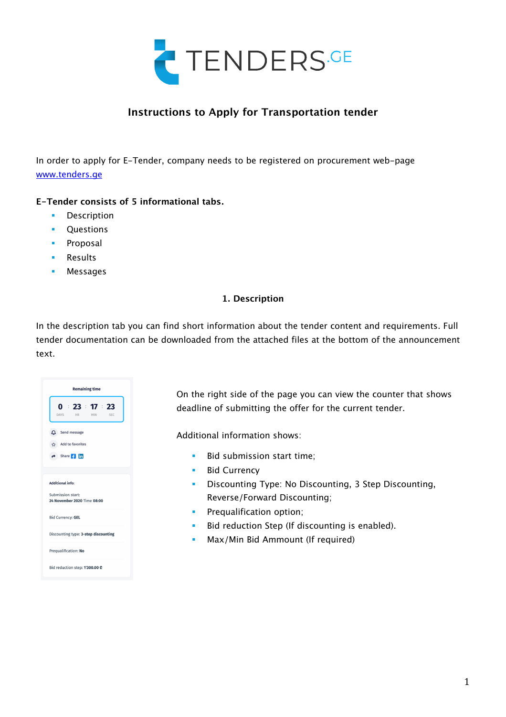

# **Instructions to Apply for Transportation tender**

In order to apply for E-Tender, company needs to be registered on procurement web-page www.tenders.ge

## **E-Tender consists of 5 informational tabs.**

- **•** Description
- **•** Questions
- Proposal
- § Results
- § Messages

## **1. Description**

In the description tab you can find short information about the tender content and requirements. Full tender documentation can be downloaded from the attached files at the bottom of the announcement text.



On the right side of the page you can view the counter that shows deadline of submitting the offer for the current tender.

Additional information shows:

- **•** Bid submission start time:
- **•** Bid Currency
- § Discounting Type: No Discounting, 3 Step Discounting, Reverse/Forward Discounting;
- **•** Prequalification option;
- Bid reduction Step (If discounting is enabled).
- **Max/Min Bid Ammount (If required)**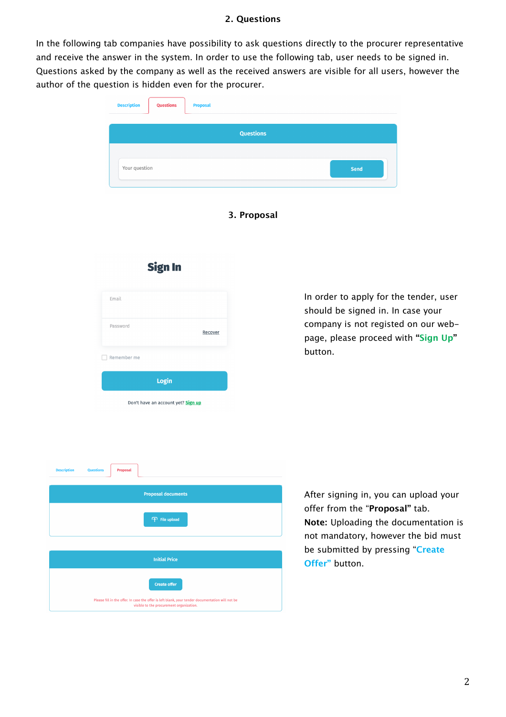## **2. Questions**

In the following tab companies have possibility to ask questions directly to the procurer representative and receive the answer in the system. In order to use the following tab, user needs to be signed in. Questions asked by the company as well as the received answers are visible for all users, however the author of the question is hidden even for the procurer.

| <b>Description</b> | Questions | <b>Proposal</b> |                  |      |
|--------------------|-----------|-----------------|------------------|------|
|                    |           |                 | <b>Questions</b> |      |
|                    |           |                 |                  |      |
| Your question      |           |                 |                  | Send |
|                    |           |                 |                  |      |

**3. Proposal**

| Email                                |
|--------------------------------------|
| Password<br>Recover                  |
| Remember me                          |
| Login                                |
| Don't have an account yet? Sign up   |
|                                      |
|                                      |
| <b>Questions</b><br>Proposal<br>tion |
| <b>Proposal documents</b>            |
| <b>T</b> File upload                 |
|                                      |

**Initial Price** 

**Create offer** 

Please fill in the offer. In case the offer is left blank, your tender documentation will not be<br>visible to the procurement organization.

In order to apply for the tender, user should be signed in. In case your company is not registed on our webpage, please proceed with **"Sign Up"**  button.

After signing in, you can upload your offer from the "**Proposal"** tab. **Note:** Uploading the documentation is not mandatory, however the bid must be submitted by pressing "**Create Offer"** button.

**Sign In**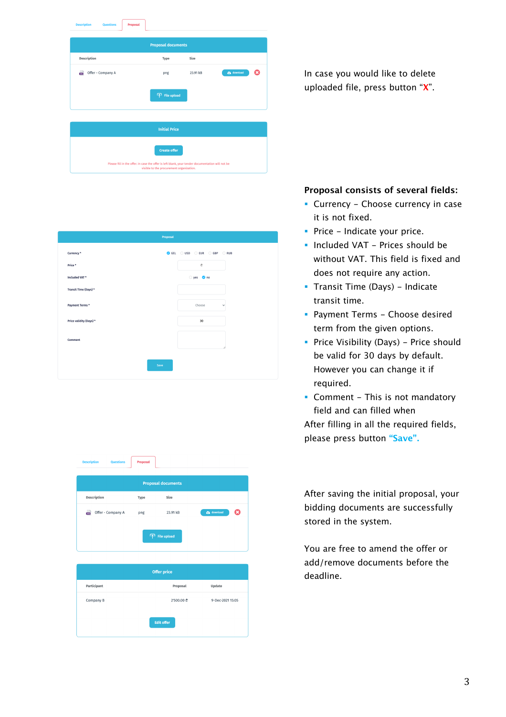| <b>Description</b><br><b>Questions</b> | Proposal |                                                                                                                                              |          |             |   |
|----------------------------------------|----------|----------------------------------------------------------------------------------------------------------------------------------------------|----------|-------------|---|
|                                        |          | <b>Proposal documents</b>                                                                                                                    |          |             |   |
| Description                            |          | Type                                                                                                                                         | Size     |             |   |
| 画<br>Offer - Company A                 |          | png                                                                                                                                          | 23.91 kB | ca download | Ω |
|                                        |          | File upload                                                                                                                                  |          |             |   |
|                                        |          | <b>Initial Price</b>                                                                                                                         |          |             |   |
|                                        |          | <b>Create offer</b>                                                                                                                          |          |             |   |
|                                        |          | Please fill in the offer. In case the offer is left blank, your tender documentation will not be<br>visible to the procurement organization. |          |             |   |

|                         | Proposal                |
|-------------------------|-------------------------|
| Currency*               | GEL OUSD OEUR OGBP ORUB |
| Price *                 | $\mathbb{C}$            |
| Included VAT *          | yes Ono                 |
| Transit Time (Days) *   |                         |
| Payment Terms*          | Choose<br>$\checkmark$  |
| Price validity (Days) * | 30                      |
| Comment                 |                         |
|                         | í                       |
|                         | Save                    |
|                         |                         |

|                   |      | <b>Proposal documents</b> |                         |
|-------------------|------|---------------------------|-------------------------|
| Description       | Type | Size                      |                         |
| Offer - Company A | png  | 23.91 kB                  | œ<br><b>Co</b> download |
|                   | டை   | <b>File upload</b>        |                         |

| <b>Offer price</b> |            |                  |  |  |  |
|--------------------|------------|------------------|--|--|--|
| Participant        | Proposal   | Update           |  |  |  |
| Company B          | 2'500.00 ₾ | 9-Dec-2021 15:05 |  |  |  |
| <b>Edit offer</b>  |            |                  |  |  |  |

In case you would like to delete uploaded file, press button "**X**".

# **Proposal consists of several fields:**

- Currency Choose currency in case it is not fixed.
- Price Indicate your price.
- § Included VAT Prices should be without VAT. This field is fixed and does not require any action.
- Transit Time (Days) Indicate transit time.
- § Payment Terms Choose desired term from the given options.
- **Price Visibility (Days) Price should** be valid for 30 days by default. However you can change it if required.
- Comment This is not mandatory field and can filled when After filling in all the required fields,

please press button **"Save".**

After saving the initial proposal, your bidding documents are successfully stored in the system.

You are free to amend the offer or add/remove documents before the deadline.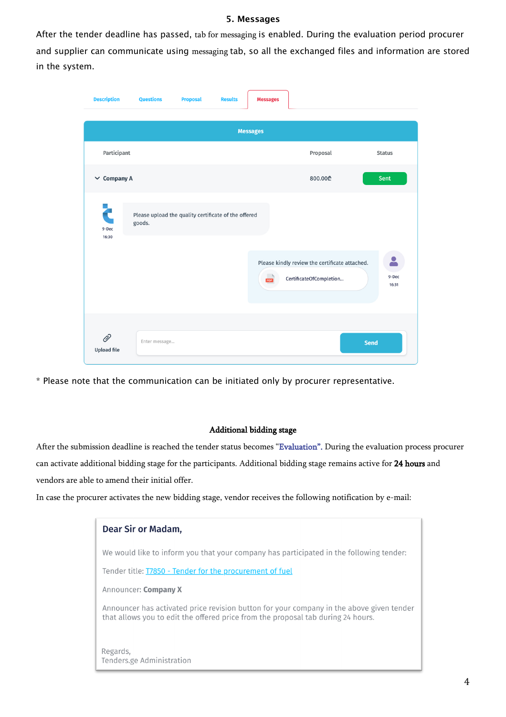### **5. Messages**

After the tender deadline has passed, tab for messaging is enabled. During the evaluation period procurer and supplier can communicate using messaging tab, so all the exchanged files and information are stored in the system.



\* Please note that the communication can be initiated only by procurer representative.

#### Additional bidding stage

After the submission deadline is reached the tender status becomes "Evaluation". During the evaluation process procurer can activate additional bidding stage for the participants. Additional bidding stage remains active for 24 hours and vendors are able to amend their initial offer.

In case the procurer activates the new bidding stage, vendor receives the following notification by e-mail:

| Dear Sir or Madam,                                                                                                                                                           |
|------------------------------------------------------------------------------------------------------------------------------------------------------------------------------|
| We would like to inform you that your company has participated in the following tender:                                                                                      |
| Tender title: <b>T7850 - Tender for the procurement of fuel</b>                                                                                                              |
| Announcer: <b>Company X</b>                                                                                                                                                  |
| Announcer has activated price revision button for your company in the above given tender<br>that allows you to edit the offered price from the proposal tab during 24 hours. |
| Regards,<br>Tenders.ge Administration                                                                                                                                        |